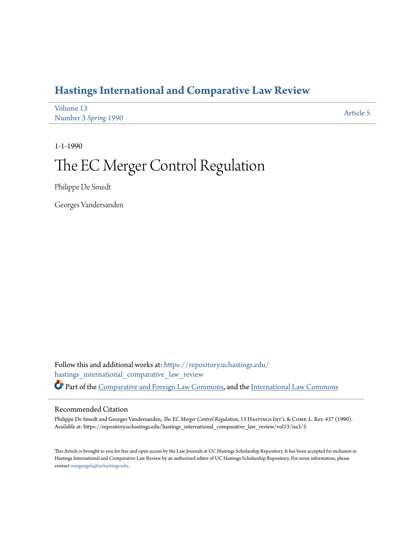# **[Hastings International and Comparative Law Review](https://repository.uchastings.edu/hastings_international_comparative_law_review?utm_source=repository.uchastings.edu%2Fhastings_international_comparative_law_review%2Fvol13%2Fiss3%2F5&utm_medium=PDF&utm_campaign=PDFCoverPages)**

| Volume 13            | Article 5 |
|----------------------|-----------|
| Number 3 Spring 1990 |           |

1-1-1990

# The EC Merger Control Regulation

Philippe De Smedt

Georges Vandersanden

Follow this and additional works at: [https://repository.uchastings.edu/](https://repository.uchastings.edu/hastings_international_comparative_law_review?utm_source=repository.uchastings.edu%2Fhastings_international_comparative_law_review%2Fvol13%2Fiss3%2F5&utm_medium=PDF&utm_campaign=PDFCoverPages) [hastings\\_international\\_comparative\\_law\\_review](https://repository.uchastings.edu/hastings_international_comparative_law_review?utm_source=repository.uchastings.edu%2Fhastings_international_comparative_law_review%2Fvol13%2Fiss3%2F5&utm_medium=PDF&utm_campaign=PDFCoverPages) Part of the [Comparative and Foreign Law Commons](http://network.bepress.com/hgg/discipline/836?utm_source=repository.uchastings.edu%2Fhastings_international_comparative_law_review%2Fvol13%2Fiss3%2F5&utm_medium=PDF&utm_campaign=PDFCoverPages), and the [International Law Commons](http://network.bepress.com/hgg/discipline/609?utm_source=repository.uchastings.edu%2Fhastings_international_comparative_law_review%2Fvol13%2Fiss3%2F5&utm_medium=PDF&utm_campaign=PDFCoverPages)

#### Recommended Citation

Philippe De Smedt and Georges Vandersanden, *The EC Merger Control Regulation*, 13 HASTINGS INT'L & COMP. L. Rev. 437 (1990). Available at: https://repository.uchastings.edu/hastings\_international\_comparative\_law\_review/vol13/iss3/5

This Article is brought to you for free and open access by the Law Journals at UC Hastings Scholarship Repository. It has been accepted for inclusion in Hastings International and Comparative Law Review by an authorized editor of UC Hastings Scholarship Repository. For more information, please contact [wangangela@uchastings.edu](mailto:wangangela@uchastings.edu).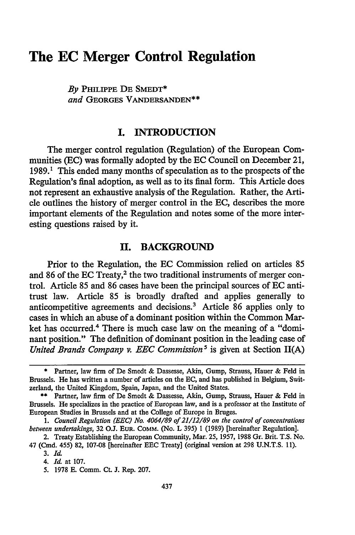# **The EC Merger Control Regulation**

*By* **PHILIPPE DE SMEDT\*** *and* **GEORGES VANDERSANDEN\*\***

# **I. INTRODUCTION**

The merger control regulation (Regulation) of the European Communities **(EC)** was formally adopted **by** the **EC** Council on December 21, 1989.1 This ended many months of speculation as to the prospects of the Regulation's final adoption, as well as to its final form. This Article does not represent an exhaustive analysis of the Regulation. Rather, the Article outlines the history of merger control in the **EC,** describes the more important elements of the Regulation and notes some of the more interesting questions raised **by** it.

#### **II. BACKGROUND**

Prior to the Regulation, the **EC** Commission relied on articles 85 and 86 of the EC Treaty,<sup>2</sup> the two traditional instruments of merger control. Article **85** and **86** cases have been the principal sources of **EC** antitrust law. Article 85 is broadly drafted and applies generally to anticompetitive agreements and decisions.3 Article 86 applies only to cases in which an abuse of a dominant position within the Common Market has occurred.<sup>4</sup> There is much case law on the meaning of a "dominant position." The definition of dominant position in the leading case of *United Brands Company v. EEC Commission<sup>5</sup> is given at Section II(A)* 

**<sup>\*</sup>** Partner, law firm of De Smedt **&** Dassesse, Akin, Gump, Strauss, Hauer **&** Feld in Brussels. He has written a number of articles on the **EC,** and has published in Belgium, Switzerland, the United Kingdom, Spain, Japan, and the United States.

**<sup>\*\*</sup>** Partner, law firm of De Smedt **&** Dassesse, Akin, Gump, Strauss, Hauer **&** Feld in Brussels. He specializes in the practice of European law, and is a professor at the Institute of European Studies in Brussels and at the College of Europe in Bruges.

*<sup>1.</sup> Council Regulation (EEC) No. 4064/89 of 21/12/89 on the control of concentrations between undertakings,* 32 **O.J. EUR. COMM. (No.** L 395) **1** (1989) [hereinafter Regulation].

<sup>2.</sup> Treaty Establishing the European Community, Mar. 25, **1957,** 1988 Gr. Brit. T.S. No. 47 (Cmd. 455) 82, 107-08 [hereinafter **EEC** Treaty] (original version at **298** U.N.T.S. 11).

**<sup>3.</sup>** *Id.*

<sup>4.</sup> *Id* at **107.**

**<sup>5. 1978</sup> E.** Comm. Ct. **J.** Rep. **207.**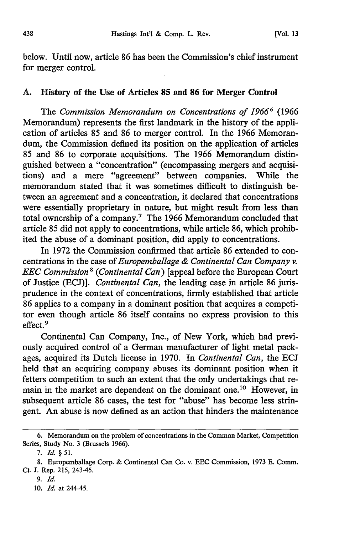below. Until now, article 86 has been the Commission's chief instrument for merger control.

#### **A.** History of the Use of Articles **85** and **86** for Merger Control

The *Commission Memorandum on Concentrations of 19666* **(1966** Memorandum) represents the first landmark in the history of the application of articles **85** and **86** to merger control. In the **1966** Memorandum, the Commission defined its position on the application of articles **85** and **86** to corporate acquisitions. The **1966** Memorandum distinguished between a "concentration" (encompassing mergers and acquisitions) and a mere "agreement" between companies. While the memorandum stated that it was sometimes difficult to distinguish between an agreement and a concentration, it declared that concentrations were essentially proprietary in nature, but might result from less than total ownership of a company.7 The **1966** Memorandum concluded that article **85** did not apply to concentrations, while article **86,** which prohibited the abuse of a dominant position, did apply to concentrations.

In **1972** the Commission confirmed that article **86** extended to concentrations in the case *of Europemballage & Continental Can Company v. EEC Commission8 (Continental Can)* [appeal before the European Court of Justice (ECJ)]. *Continental Can,* the leading case in article 86 jurisprudence in the context of concentrations, firmly established that article 86 applies to a company in a dominant position that acquires a competitor even though article 86 itself contains no express provision to this effect. <sup>9</sup>

Continental Can Company, Inc., of New York, which had previously acquired control of a German manufacturer of light metal packages, acquired its Dutch license in 1970. In *Continental Can,* the ECJ held that an acquiring company abuses its dominant position when it fetters competition to such an extent that the only undertakings that remain in the market are dependent on the dominant one.10 However, in subsequent article 86 cases, the test for "abuse" has become less stringent. An abuse is now defined as an action that hinders the maintenance

9. *Id.*

10. *Id.* at 244-45.

<sup>6.</sup> Memorandum on the problem of concentrations in the Common Market, Competition Series, Study No. 3 (Brussels 1966).

*<sup>7.</sup> Id. § 51.*

<sup>8.</sup> Europemballage Corp. & Continental Can Co. v. EEC Commission, 1973 E. Comm. Ct. J. Rep. 215, 243-45.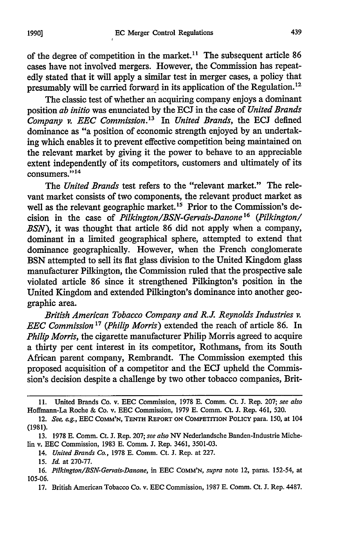of the degree of competition in the market.<sup>11</sup> The subsequent article 86 cases have not involved mergers. However, the Commission has repeatedly stated that it will apply a similar test in merger cases, a policy that presumably will be carried forward in its application of the Regulation.12

The classic test of whether an acquiring company enjoys a dominant position *ab initio* was enunciated by the ECJ in the case of *United Brands Company v. EEC Commission.13* In *United Brands,* the ECJ defined dominance as "a position of economic strength enjoyed by an undertaking which enables it to prevent effective competition being maintained on the relevant market by giving it the power to behave to an appreciable extent independently of its competitors, customers and ultimately of its consumers."<sup>14</sup>

The *United Brands* test refers to the "relevant market." The relevant market consists of two components, the relevant product market as well as the relevant geographic market.<sup>15</sup> Prior to the Commission's decision in the case of *Pilkington/BSN-Gervais-Danone16 (Pilkington/ BSN),* it was thought that article 86 did not apply when a company, dominant in a limited geographical sphere, attempted to extend that dominance geographically. However, when the French conglomerate BSN attempted to sell its flat glass division to the United Kingdom glass manufacturer Pilkington, the Commission ruled that the prospective sale violated article 86 since it strengthened Pilkington's position in the United Kingdom and extended Pilkington's dominance into another geographic area.

*British American Tobacco Company and R.J Reynolds Industries v. EEC Commission 17 (Philip Morris)* extended the reach of article 86. In *Philip Morris,* the cigarette manufacturer Philip Morris agreed to acquire a thirty per cent interest in its competitor, Rothmans, from its South African parent company, Rembrandt. The Commission exempted this proposed acquisition of a competitor and the ECJ upheld the Commission's decision despite a challenge by two other tobacco companies, Brit-

<sup>11.</sup> United Brands Co. v. **EEC** Commission, 1978 E. Comm. Ct. J. Rep. 207; *see also* Hoffmann-La Roche & Co. v. EEC Commission, 1979 E. Comm. Ct. J. Rep. 461, 520.

<sup>12.</sup> *See,* eg., **EEC COMM'N, TENTH REPORT ON COMPETITION POLICY** para. 150, at 104 (1981).

<sup>13. 1978</sup> E. Comm. Ct. J. Rep. 207; *see also NV* Nederlandsche Banden-Industrie Michelin v. EEC Commission, 1983 E. Comm. J. Rep. 3461, 3501-03.

<sup>14.</sup> *United Brands Co.,* 1978 E. Comm. Ct. J. Rep. at 227.

<sup>15.</sup> *Id.* at 270-77.

<sup>16.</sup> *Pilkington/BSN-Gervais-Danone,* in EEC COMM'N, *supra* note 12, paras. 152-54, at 105-06.

<sup>17.</sup> British American Tobacco Co. v. EEC Commission, 1987 E. Comm. Ct. J. Rep. 4487.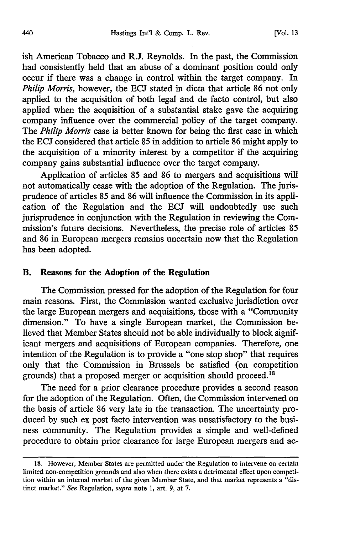ish American Tobacco and R.J. Reynolds. In the past, the Commission had consistently held that an abuse of a dominant position could only occur if there was a change in control within the target company. In *Philip Morris,* however, the ECJ stated in dicta that article 86 not only applied to the acquisition of both legal and de facto control, but also applied when the acquisition of a substantial stake gave the acquiring company influence over the commercial policy of the target company. The *Philip Morris* case is better known for being the first case in which the ECJ considered that article 85 in addition to article 86 might apply to the acquisition of a minority interest by a competitor if the acquiring company gains substantial influence over the target company.

Application of articles 85 and 86 to mergers and acquisitions will not automatically cease with the adoption of the Regulation. The jurisprudence of articles 85 and 86 will influence the Commission in its application of the Regulation and the ECJ will undoubtedly use such jurisprudence in conjunction with the Regulation in reviewing the Commission's future decisions. Nevertheless, the precise role of articles 85 and 86 in European mergers remains uncertain now that the Regulation has been adopted.

#### B. Reasons for the Adoption of the Regulation

The Commission pressed for the adoption of the Regulation for four main reasons. First, the Commission wanted exclusive jurisdiction over the large European mergers and acquisitions, those with a "Community dimension." To have a single European market, the Commission believed that Member States should not be able individually to block significant mergers and acquisitions of European companies. Therefore, one intention of the Regulation is to provide a "one stop shop" that requires only that the Commission in Brussels be satisfied (on competition grounds) that a proposed merger or acquisition should proceed.<sup>18</sup>

The need for a prior clearance procedure provides a second reason for the adoption of the Regulation. Often, the Commission intervened on the basis of article 86 very late in the transaction. The uncertainty produced by such ex post facto intervention was unsatisfactory to the business community. The Regulation provides a simple and well-defined procedure to obtain prior clearance for large European mergers and ac-

**<sup>18.</sup>** However, Member States are permitted under the Regulation to intervene on certain limited non-competition grounds and also when there exists a detrimental effect upon competition within an internal market of the given Member State, and that market represents a "distinct market." *See* Regulation, *supra* note 1, art. 9, at 7.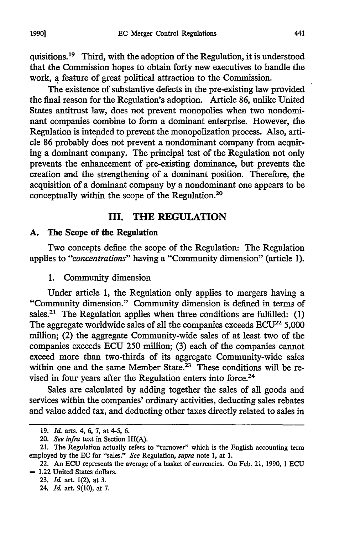quisitions. 19 Third, with the adoption of the Regulation, it is understood that the Commission hopes to obtain forty new executives to handle the work, a feature of great political attraction to the Commission.

The existence of substantive defects in the pre-existing law provided the final reason for the Regulation's adoption. Article 86, unlike United States antitrust law, does not prevent monopolies when two nondominant companies combine to form a dominant enterprise. However, the Regulation is intended to prevent the monopolization process. Also, article 86 probably does not prevent a nondominant company from acquiring a dominant company. The principal test of the Regulation not only prevents the enhancement of pre-existing dominance, but prevents the creation and the strengthening of a dominant position. Therefore, the acquisition of a dominant company by a nondominant one appears to be conceptually within the scope of the Regulation.20

## **III. THE REGULATION**

#### **A. The Scope of the Regulation**

Two concepts define the scope of the Regulation: The Regulation applies to *"concentrations"* having a "Community dimension" (article 1).

1. Community dimension

Under article 1, the Regulation only applies to mergers having a "Community dimension." Community dimension is defined in terms of sales.<sup>21</sup> The Regulation applies when three conditions are fulfilled:  $(1)$ The aggregate worldwide sales of all the companies exceeds  $ECU^{22}$  5,000 million; (2) the aggregate Community-wide sales of at least two of the companies exceeds ECU 250 million; (3) each of the companies cannot exceed more than two-thirds of its aggregate Community-wide sales within one and the same Member State.<sup>23</sup> These conditions will be revised in four years after the Regulation enters into force.<sup>24</sup>

Sales are calculated by adding together the sales of all goods and services within the companies' ordinary activities, deducting sales rebates and value added tax, and deducting other taxes directly related to sales in

<sup>19.</sup> *Id.* arts. 4, 6, 7, at 4-5, 6.

*<sup>20.</sup> See infra* text in Section III(A).

<sup>21.</sup> The Regulation actually refers to "turnover" which is the English accounting term employed by the EC for "sales." *See* Regulation, *supra* note **1,** at 1.

<sup>22.</sup> An ECU represents the average of a basket of currencies. On Feb. 21, 1990, **1** ECU  $= 1.22$  United States dollars.

<sup>23.</sup> *Id* art. 1(2), at 3.

<sup>24.</sup> *Id* art. 9(10), at 7.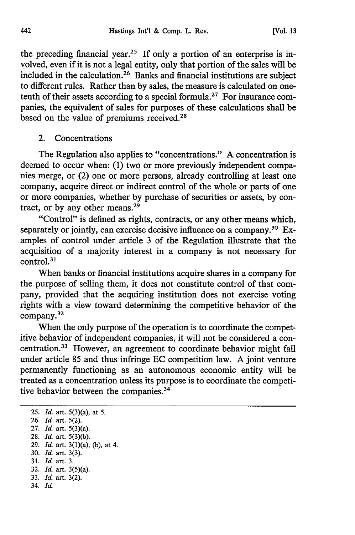the preceding financial year.<sup>25</sup> If only a portion of an enterprise is involved, even if it is not a legal entity, only that portion of the sales will be included in the calculation.26 Banks and financial institutions are subject to different rules. Rather than by sales, the measure is calculated on onetenth of their assets according to a special formula.<sup>27</sup> For insurance companies, the equivalent of sales for purposes of these calculations shall be based on the value of premiums received.<sup>28</sup>

2. Concentrations

The Regulation also applies to "concentrations." A concentration is deemed to occur when: (1) two or more previously independent companies merge, or (2) one or more persons, already controlling at least one company, acquire direct or indirect control of the whole or parts of one or more companies, whether by purchase of securities or assets, by contract, or by any other means.<sup>29</sup>

"Control" is defined as rights, contracts, or any other means which, separately or jointly, can exercise decisive influence on a company.<sup>30</sup> Examples of control under article 3 of the Regulation illustrate that the acquisition of a majority interest in a company is not necessary for control.31

When banks or financial institutions acquire shares in a company for the purpose of selling them, it does not constitute control of that company, provided that the acquiring institution does not exercise voting rights with a view toward determining the competitive behavior of the company.32

When the only purpose of the operation is to coordinate the competitive behavior of independent companies, it will not be considered a concentration.33 However, an agreement to coordinate behavior might fall under article 85 and thus infringe EC competition law. A joint venture permanently functioning as an autonomous economic entity will be treated as a concentration unless its purpose is to coordinate the competitive behavior between the companies.<sup>34</sup>

**25.** *Id.* art. 5(3)(a), at **5. 26.** *Id.* art. **5(2). 27.** *Id.* art. 5(3)(a). **28.** *Id.* art. 5(3)(b). **29.** *Id.* art. 3(1)(a), (b), at 4. 30. *Id.* art. 3(3). 31. *Id.* art. 3. 32. *Id.* art. 3(5)(a). 33. *Id.* art. 3(2). 34. *Id.*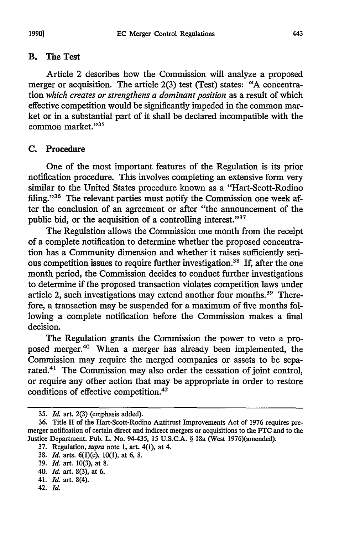#### B. The Test

Article 2 describes how the Commission will analyze a proposed merger or acquisition. The article 2(3) test (Test) states: "A concentration *which creates or strengthens a dominant position* as a result of which effective competition would be significantly impeded in the common market or in a substantial part of it shall be declared incompatible with the common market."<sup>35</sup>

#### **C.** Procedure

One of the most important features of the Regulation is its prior notification procedure. This involves completing an extensive form very similar to the United States procedure known as a "Hart-Scott-Rodino filing."<sup>36</sup> The relevant parties must notify the Commission one week after the conclusion of an agreement or after "the announcement of the public bid, or the acquisition of a controlling interest." $37$ 

The Regulation allows the Commission one month from the receipt of a complete notification to determine whether the proposed concentration has a Community dimension and whether it raises sufficiently serious competition issues to require further investigation.<sup>38</sup> If, after the one month period, the Commission decides to conduct further investigations to determine if the proposed transaction violates competition laws under article 2, such investigations may extend another four months. 39 Therefore, a transaction may be suspended for a maximum of five months following a complete notification before the Commission makes a final decision.

The Regulation grants the Commission the power to veto a proposed merger.<sup>40</sup> When a merger has already been implemented, the Commission may require the merged companies or assets to be separated.<sup>41</sup> The Commission may also order the cessation of joint control, or require any other action that may be appropriate in order to restore conditions of effective competition.42

<sup>35.</sup> *Id.* art. 2(3) (emphasis added).

<sup>36.</sup> Title II of the Hart-Scott-Rodino Antitrust Improvements Act of 1976 requires premerger notification of certain direct and indirect mergers or acquisitions to the FTC and to the Justice Department. Pub. L. No. 94-435, 15 U.S.C.A. § 18a (West 1976)(amended).

<sup>37.</sup> Regulation, *supra* note 1, art. 4(1), at 4.

<sup>38.</sup> *Id.* arts. 6(1)(c), 10(1), at 6, 8.

<sup>39.</sup> *Id.* art. 10(3), at 8.

<sup>40.</sup> *Id.* art. 8(3), at 6.

<sup>41.</sup> *Id.* art. 8(4).

<sup>42.</sup> *Id.*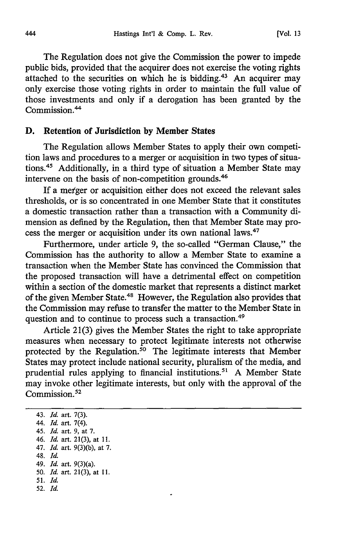The Regulation does not give the Commission the power to impede public bids, provided that the acquirer does not exercise the voting rights attached to the securities on which he is bidding.<sup>43</sup> An acquirer may only exercise those voting rights in order to maintain the full value of those investments and only if a derogation has been granted by the Commission.<sup>44</sup>

#### **D.** Retention of Jurisdiction **by** Member States

The Regulation allows Member States to apply their own competition laws and procedures to a merger or acquisition in two types of situations.45 Additionally, in a third type of situation a Member State may intervene on the basis of non-competition grounds.46

If a me'ger or acquisition either does not exceed the relevant sales thresholds, or is so concentrated in one Member State that it constitutes a domestic transaction rather than a transaction with a Community dimension as defined by the Regulation, then that Member State may process the merger or acquisition under its own national laws.<sup>47</sup>

Furthermore, under article 9, the so-called "German Clause," the Commission has the authority to allow a Member State to examine a transaction when the Member State has convinced the Commission that the proposed transaction will have a detrimental effect on competition within a section of the domestic market that represents a distinct market of the given Member State.<sup>48</sup> However, the Regulation also provides that the Commission may refuse to transfer the matter to the Member State in question and to continue to process such a transaction.<sup>49</sup>

Article 21(3) gives the Member States the right to take appropriate measures when necessary to protect legitimate interests not otherwise protected by the Regulation. $50$  The legitimate interests that Member States may protect include national security, pluralism of the media, and prudential rules applying to financial institutions.<sup>51</sup> A Member State may invoke other legitimate interests, but only with the approval of the Commission. $52$ 

43. *Id.* art. 7(3). 44. *Id.* art. 7(4). 45. *Id.* art. 9, at 7. 46. *Id.* art. 21(3), at 11. 47. *Id.* art. 9(3)(b), at 7. 48. *Id.* 49. *Id.* art. 9(3)(a). 50. *Id.* art. 21(3), at **11.** 51. *Id.* 52. *Id.*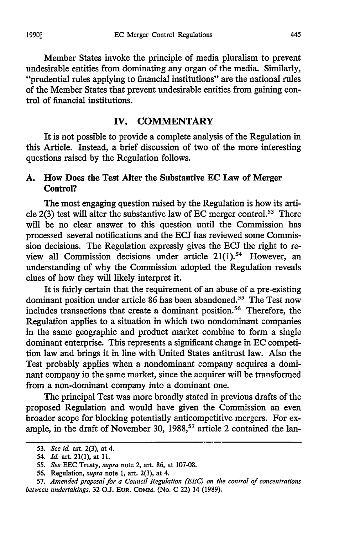Member States invoke the principle of media pluralism to prevent undesirable entities from dominating any organ of the media. Similarly, "prudential rules applying to financial institutions" are the national rules of the Member States that prevent undesirable entities from gaining control of financial institutions.

# **V. COMMENTARY**

It is not possible to provide a complete analysis of the Regulation in this Article. Instead, a brief discussion of two of the more interesting questions raised **by** the Regulation follows.

# **A.** How Does the Test Alter the Substantive **EC** Law of Merger **Control?**

The most engaging question raised **by** the Regulation is how its article 2(3) test will alter the substantive law of **EC** merger control.53 There will be no clear answer to this question until the Commission has processed several notifications and the ECJ has reviewed some Commission decisions. The Regulation expressly gives the **ECJ** the right to review all Commission decisions under article  $21(1)$ .<sup>54</sup> However, an understanding of why the Commission adopted the Regulation reveals clues of how they will likely interpret it.

It is fairly certain that the requirement of an abuse of a pre-existing dominant position under article 86 has been abandoned.<sup>55</sup> The Test now includes transactions that create a dominant position.<sup>56</sup> Therefore, the Regulation applies to a situation in which two nondominant companies in the same geographic and product market combine to form a single dominant enterprise. This represents a significant change in EC competition law and brings it in line with United States antitrust law. Also the Test probably applies when a nondominant company acquires a dominant company in the same market, since the acquirer will be transformed from a non-dominant company into a dominant one.

The principal Test was more broadly stated in previous drafts of the proposed Regulation and would have given the Commission an even broader scope for blocking potentially anticompetitive mergers. For example, in the draft of November 30,  $1988$ <sup>57</sup> article 2 contained the lan-

<sup>53.</sup> *See id.* art. 2(3), at 4.

<sup>54.</sup> *Id.* art. 21(1), at **11.**

<sup>55.</sup> *See* EEC Treaty, *supra* note 2, art. 86, at 107-08.

<sup>56.</sup> Regulation, *supra* note 1, art. 2(3), at 4.

<sup>57.</sup> *Amended proposal for a Council Regulation (EEC) on the control of concentrations between undertakings,* 32 O.J. **EUR.** COMM. (No. C 22) 14 (1989).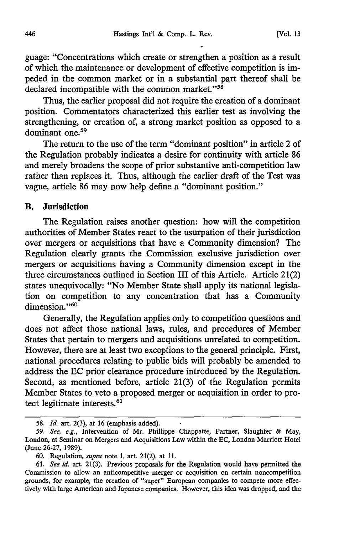guage: "Concentrations which create or strengthen a position as a result of which the maintenance or development of effective competition is impeded in the common market or in a substantial part thereof shall be declared incompatible with the common market."<sup>58</sup>

Thus, the earlier proposal did not require the creation of a dominant position. Commentators characterized this earlier test as involving the strengthening, or creation of, a strong market position as opposed to a dominant one.<sup>59</sup>

The return to the use of the term "dominant position" in article 2 of the Regulation probably indicates a desire for continuity with article 86 and merely broadens the scope of prior substantive anti-competition law rather than replaces it. Thus, although the earlier draft of the Test was vague, article 86 may now help define a "dominant position."

#### B. Jurisdiction

The Regulation raises another question: how will the competition authorities of Member States react to the usurpation of their jurisdiction over mergers or acquisitions that have a Community dimension? The Regulation clearly grants the Commission exclusive jurisdiction over mergers or acquisitions having a Community dimension except in the three circumstances outlined in Section III of this Article. Article 21(2) states unequivocally: "No Member State shall apply its national legislation on competition to any concentration that has a Community dimension."<sup>60</sup>

Generally, the Regulation applies only to competition questions and does not affect those national laws, rules, and procedures of Member States that pertain to mergers and acquisitions unrelated to competition. However, there are at least two exceptions to the general principle. First, national procedures relating to public bids will probably be amended to address the **EC** prior clearance procedure introduced **by** the Regulation. Second, as mentioned before, article 21(3) of the Regulation permits Member States to veto a proposed merger or acquisition in order to protect legitimate interests. $6<sup>1</sup>$ 

*<sup>58.</sup> Id.* art. 2(3), at 16 (emphasis added).

*<sup>59.</sup> See, e.g.,* Intervention of Mr. Phillippe Chappatte, Partner, Slaughter & May, London, at Seminar on Mergers and Acquisitions Law within the EC, London Marriott Hotel (June 26-27, 1989).

<sup>60.</sup> Regulation, *supra* note I, art. 21(2), at **11.**

<sup>61.</sup> *See id.* art. 21(3). Previous proposals for the Regulation would have permitted the Commission to allow an anticompetitive merger or acquisition on certain noncompetition grounds, for example, the creation of "super" European companies to compete more effectively with large American and Japanese companies. However, this idea was dropped, and the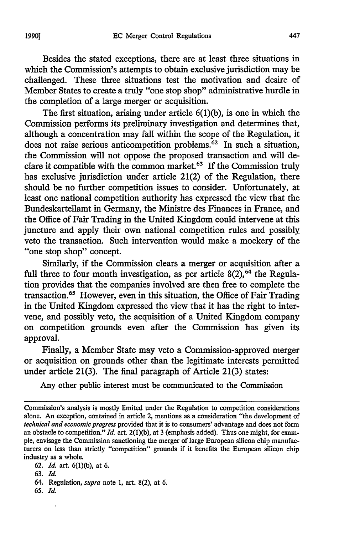Besides the stated exceptions, there are at least three situations in which the Commission's attempts to obtain exclusive jurisdiction may be challenged. These three situations test the motivation and desire of Member States to create a truly "one stop shop" administrative hurdle in the completion of a large merger or acquisition.

The first situation, arising under article 6(1)(b), is one in which the Commission performs its preliminary investigation and determines that, although a concentration may fall within the scope of the Regulation, it does not raise serious anticompetition problems.<sup>62</sup> In such a situation, the Commission will not oppose the proposed transaction and will declare it compatible with the common market.<sup>63</sup> If the Commission truly has exclusive jurisdiction under article 21(2) of the Regulation, there should be no further competition issues to consider. Unfortunately, at least one national competition authority has expressed the view that the Bundeskartellamt in Germany, the Ministre des Finances in France, and the Office of Fair Trading in the United Kingdom could intervene at this juncture and apply their own national competition rules and possibly veto the transaction. Such intervention would make a mockery of the "one stop shop" concept.

Similarly, if the Commission clears a merger or acquisition after a full three to four month investigation, as per article  $8(2)$ ,  $64$  the Regulation provides that the companies involved are then free to complete the transaction. 65 However, even in this situation, the Office of Fair Trading in the United Kingdom expressed the view that it has the right to intervene, and possibly veto, the acquisition of a United Kingdom company on competition grounds even after the Commission has given its approval.

Finally, a Member State may veto a Commission-approved merger or acquisition on grounds other than the legitimate interests permitted under article 21(3). The final paragraph of Article 21(3) states:

Any other public interest must be communicated to the Commission

- 64. Regulation, *supra* note 1, art. 8(2), at 6.
- **65.** *Id.*

Commission's analysis is mostly limited under the Regulation to competition considerations alone. An exception, contained in article 2, mentions as a consideration "the development of *technical and economic progress* provided that it is to consumers' advantage and does not form an obstacle to competition." *Id.* art. 2(1)(b), at 3 (emphasis added). Thus one might, for example, envisage the Commission sanctioning the merger of large European silicon chip manufacturers on less than strictly "competition" grounds if it benefits the European silicon chip industry as a whole.

<sup>62.</sup> *Id.* art. 6(1)(b), at 6.

<sup>63.</sup> *Id.*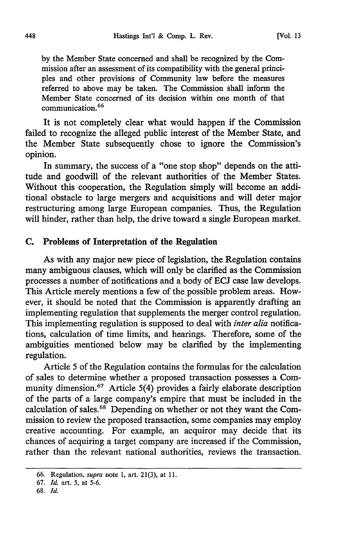by the Member State concerned and shall be recognized by the Commission after an assessment of its compatibility with the general principles and other provisions of Community law before the measures referred to above may be taken. The Commission shall inform the Member State concerned of its decision within one month of that communication. <sup>66</sup>

It is not completely clear what would happen if the Commission failed to recognize the alleged public interest of the Member State, and the Member State subsequently chose to ignore the Commission's opinion.

In summary, the success of a "one stop shop" depends on the attitude and goodwill of the relevant authorities of the Member States. Without this cooperation, the Regulation simply will become an additional obstacle to large mergers and acquisitions and will deter major restructuring among large European companies. Thus, the Regulation will hinder, rather than help, the drive toward a single European market.

#### C. Problems of Interpretation of the Regulation

As with any major new piece of legislation, the Regulation contains many ambiguous clauses, which will only be clarified as the Commission processes a number of notifications and a body of ECJ case law develops. This Article merely mentions a few of the possible problem areas. However, it should be noted that the Commission is apparently drafting an implementing regulation that supplements the merger control regulation. This implementing regulation is supposed to deal with *inter alia* notifications, calculation of time limits, and hearings. Therefore, some of the ambiguities mentioned below may be clarified by the implementing regulation.

Article 5 of the Regulation contains the formulas for the calculation of sales to determine whether a proposed transaction possesses a Community dimension.<sup>67</sup> Article 5(4) provides a fairly elaborate description of the parts of a large company's empire that must be included in the calculation of sales.<sup>68</sup> Depending on whether or not they want the Commission to review the proposed transaction, some companies may employ creative accounting. For example, an acquiror may decide that its chances of acquiring a target company are increased if the Commission, rather than the relevant national authorities, reviews the transaction.

<sup>66.</sup> Regulation, *supra* note 1, art. 21(3), at **11.**

<sup>67.</sup> *Id.* art. 5, at 5-6.

<sup>68.</sup> *Id.*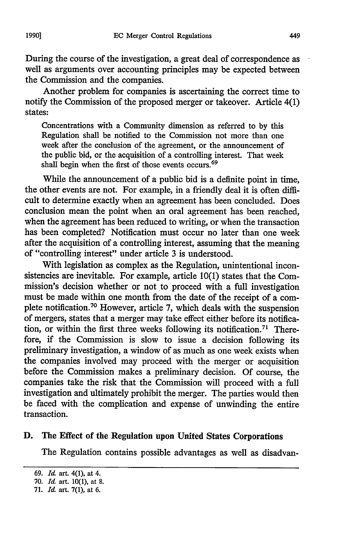During the course of the investigation, a great deal of correspondence as well as arguments over accounting principles may be expected between the Commission and the companies.

Another problem for companies is ascertaining the correct time to notify the Commission of the proposed merger or takeover. Article 4(1) states:

Concentrations with a Community dimension as referred to by this Regulation shall be notified to the Commission not more than one week after the conclusion of the agreement, or the announcement of the public bid, or the acquisition of a controlling interest. That week shall begin when the first of those events occurs.<sup>69</sup>

While the announcement of a public bid is a definite point in time, the other events are not. For example, in a friendly deal it is often difficult to determine exactly when an agreement has been concluded. Does conclusion mean the point when an oral agreement has been reached, when the agreement has been reduced to writing, or when the transaction has been completed? Notification must occur no later than one week after the acquisition of a controlling interest, assuming that the meaning of "controlling interest" under article 3 is understood.

With legislation as complex as the Regulation, unintentional inconsistencies are inevitable. For example, article 10(1) states that the Commission's decision whether or not to proceed with a full investigation must be made within one month from the date of the receipt of a complete notification.<sup>70</sup> However, article 7, which deals with the suspension of mergers, states that a merger may take effect either before its notification, or within the first three weeks following its notification.<sup>71</sup> Therefore, if the Commission is slow to issue a decision following its preliminary investigation, a window of as much as one week exists when the companies involved may proceed with the merger or acquisition before the Commission makes a preliminary decision. Of course, the companies take the risk that the Commission will proceed with a full investigation and ultimately prohibit the merger. The parties would then be faced with the complication and expense of unwinding the entire transaction.

#### **D.** The Effect of the Regulation upon United States Corporations

The Regulation contains possible advantages as well as disadvan-

**<sup>69.</sup>** *Id* art. 4(1), at 4.

**<sup>70.</sup>** *Id.* art. **10(l),** at **8.**

**<sup>71.</sup>** *Id.* art. **7(1),** at **6.**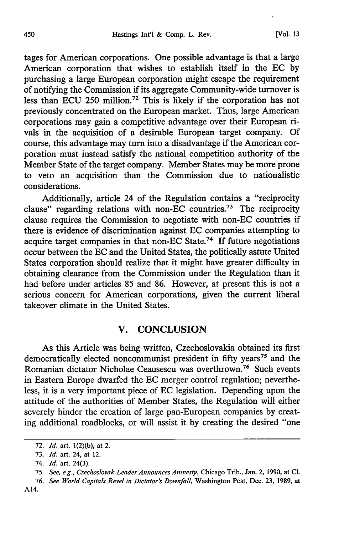tages for American corporations. One possible advantage is that a large American corporation that wishes to establish itself in the EC by purchasing a large European corporation might escape the requirement of notifying the Commission if its aggregate Community-wide turnover is less than ECU 250 million.72 This is likely if the corporation has not previously concentrated on the European market. Thus, large American corporations may gain a competitive advantage over their European rivals in the acquisition of a desirable European target company. Of course, this advantage may turn into a disadvantage if the American corporation must instead satisfy the national competition authority of the Member State of the target company. Member States may be more prone to veto an acquisition than the Commission due to nationalistic considerations.

Additionally, article 24 of the Regulation contains a "reciprocity clause" regarding relations with non-EC countries.<sup>73</sup> The reciprocity clause requires the Commission to negotiate with non-EC countries if there is evidence of discrimination against EC companies attempting to acquire target companies in that non-EC State.<sup>74</sup> If future negotiations occur between the EC and the United States, the politically astute United States corporation should realize that it might have greater difficulty in obtaining clearance from the Commission under the Regulation than it had before under articles 85 and 86. However, at present this is not a serious concern for American corporations, given the current liberal takeover climate in the United States.

### V. **CONCLUSION**

As this Article was being written, Czechoslovakia obtained its first democratically elected noncommunist president in fifty years<sup>75</sup> and the Romanian dictator Nicholae Ceausescu was overthrown.76 Such events in Eastern Europe dwarfed the EC merger control regulation; nevertheless, it is a very important piece of EC legislation. Depending upon the attitude of the authorities of Member States, the Regulation will either severely hinder the creation of large pan-European companies by creating additional roadblocks, or will assist it by creating the desired "one

<sup>72.</sup> *Id.* art. 1(2)(b), at 2.

<sup>73.</sup> *Id.* art. 24, at 12.

<sup>74.</sup> *Id.* art. 24(3).

<sup>75.</sup> *See, e.g., Czechoslovak Leader Announces Amnesty,* Chicago Trib., Jan. 2, 1990, at **Cl.**

<sup>76.</sup> *See World Capitals Revel in Dictator's Downfall,* Washington Post, Dec. 23, 1989, at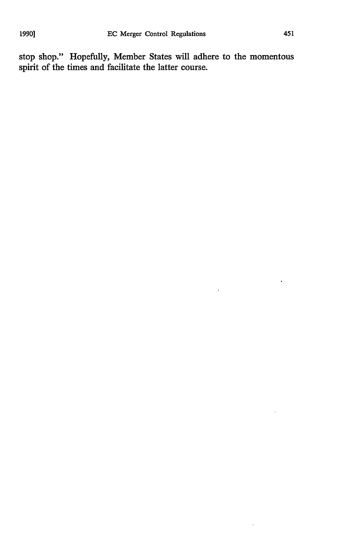stop shop." Hopefully, Member States will adhere to the momentous spirit of the times and facilitate the latter course.

 $\ddot{\phantom{1}}$ 

 $\hat{\boldsymbol{\theta}}$ 

 $\epsilon$